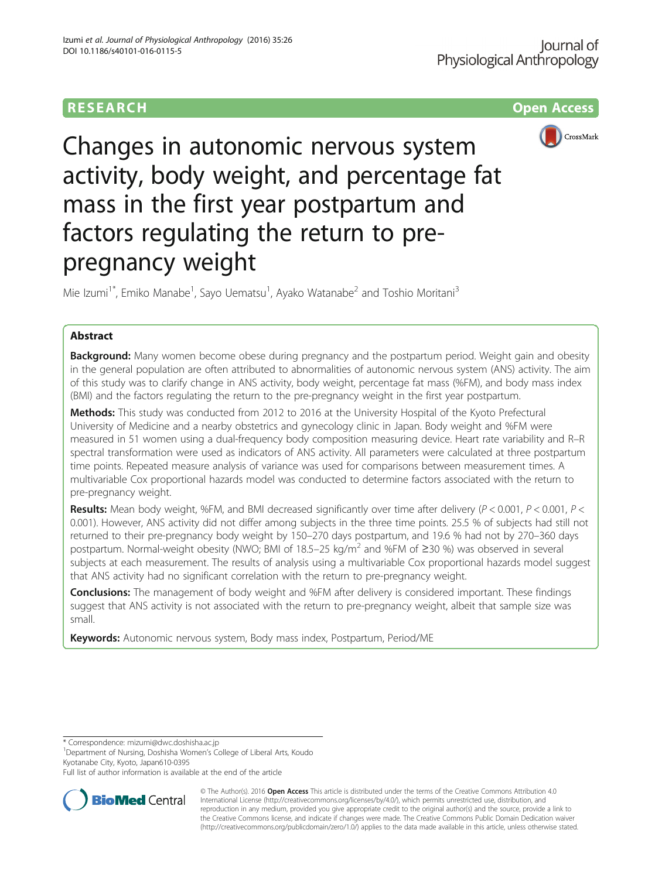# **RESEARCH RESEARCH** *CONSTRUCTER ACCESS*



Changes in autonomic nervous system activity, body weight, and percentage fat mass in the first year postpartum and factors regulating the return to prepregnancy weight

Mie Izumi<sup>1\*</sup>, Emiko Manabe<sup>1</sup>, Sayo Uematsu<sup>1</sup>, Ayako Watanabe<sup>2</sup> and Toshio Moritani<sup>3</sup>

# Abstract

**Background:** Many women become obese during pregnancy and the postpartum period. Weight gain and obesity in the general population are often attributed to abnormalities of autonomic nervous system (ANS) activity. The aim of this study was to clarify change in ANS activity, body weight, percentage fat mass (%FM), and body mass index (BMI) and the factors regulating the return to the pre-pregnancy weight in the first year postpartum.

Methods: This study was conducted from 2012 to 2016 at the University Hospital of the Kyoto Prefectural University of Medicine and a nearby obstetrics and gynecology clinic in Japan. Body weight and %FM were measured in 51 women using a dual-frequency body composition measuring device. Heart rate variability and R–R spectral transformation were used as indicators of ANS activity. All parameters were calculated at three postpartum time points. Repeated measure analysis of variance was used for comparisons between measurement times. A multivariable Cox proportional hazards model was conducted to determine factors associated with the return to pre-pregnancy weight.

Results: Mean body weight, %FM, and BMI decreased significantly over time after delivery ( $P < 0.001$ ,  $P < 0.001$ ,  $P < 0.001$ , P 0.001). However, ANS activity did not differ among subjects in the three time points. 25.5 % of subjects had still not returned to their pre-pregnancy body weight by 150–270 days postpartum, and 19.6 % had not by 270–360 days postpartum. Normal-weight obesity (NWO; BMI of 18.5–25 kg/m<sup>2</sup> and %FM of  $\geq$ 30 %) was observed in several subjects at each measurement. The results of analysis using a multivariable Cox proportional hazards model suggest that ANS activity had no significant correlation with the return to pre-pregnancy weight.

**Conclusions:** The management of body weight and %FM after delivery is considered important. These findings suggest that ANS activity is not associated with the return to pre-pregnancy weight, albeit that sample size was small.

**Keywords:** Autonomic nervous system, Body mass index, Postpartum, Period/ME

\* Correspondence: [mizumi@dwc.doshisha.ac.jp](mailto:mizumi@dwc.doshisha.ac.jp) <sup>1</sup>

<sup>1</sup>Department of Nursing, Doshisha Women's College of Liberal Arts, Koudo Kyotanabe City, Kyoto, Japan610-0395

Full list of author information is available at the end of the article



© The Author(s). 2016 Open Access This article is distributed under the terms of the Creative Commons Attribution 4.0 International License [\(http://creativecommons.org/licenses/by/4.0/](http://creativecommons.org/licenses/by/4.0/)), which permits unrestricted use, distribution, and reproduction in any medium, provided you give appropriate credit to the original author(s) and the source, provide a link to the Creative Commons license, and indicate if changes were made. The Creative Commons Public Domain Dedication waiver [\(http://creativecommons.org/publicdomain/zero/1.0/](http://creativecommons.org/publicdomain/zero/1.0/)) applies to the data made available in this article, unless otherwise stated.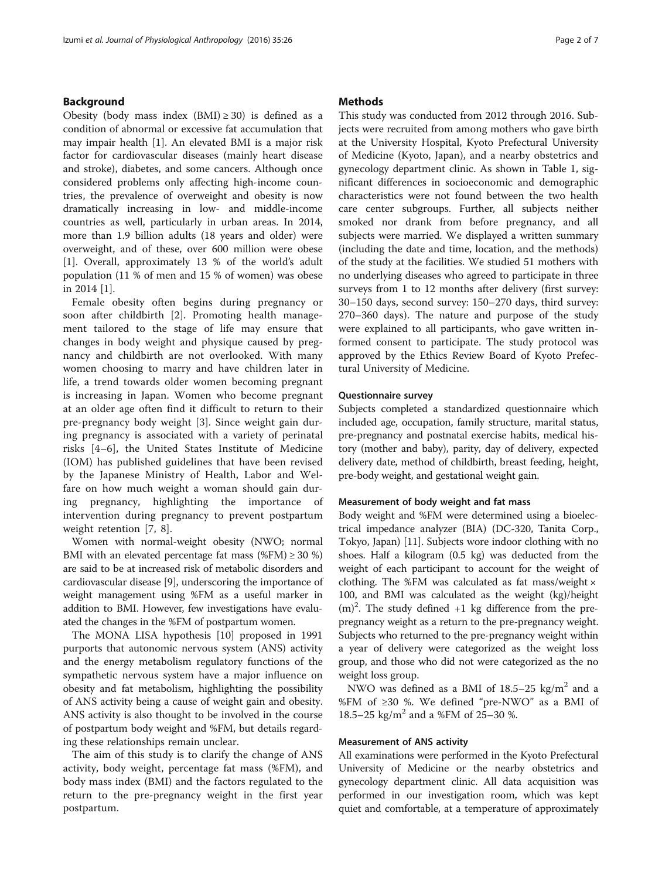# Background

Obesity (body mass index  $(BMI) \ge 30$ ) is defined as a condition of abnormal or excessive fat accumulation that may impair health [\[1](#page-5-0)]. An elevated BMI is a major risk factor for cardiovascular diseases (mainly heart disease and stroke), diabetes, and some cancers. Although once considered problems only affecting high-income countries, the prevalence of overweight and obesity is now dramatically increasing in low- and middle-income countries as well, particularly in urban areas. In 2014, more than 1.9 billion adults (18 years and older) were overweight, and of these, over 600 million were obese [[1\]](#page-5-0). Overall, approximately 13 % of the world's adult population (11 % of men and 15 % of women) was obese in 2014 [\[1](#page-5-0)].

Female obesity often begins during pregnancy or soon after childbirth [[2\]](#page-5-0). Promoting health management tailored to the stage of life may ensure that changes in body weight and physique caused by pregnancy and childbirth are not overlooked. With many women choosing to marry and have children later in life, a trend towards older women becoming pregnant is increasing in Japan. Women who become pregnant at an older age often find it difficult to return to their pre-pregnancy body weight [\[3](#page-5-0)]. Since weight gain during pregnancy is associated with a variety of perinatal risks [\[4](#page-5-0)–[6](#page-5-0)], the United States Institute of Medicine (IOM) has published guidelines that have been revised by the Japanese Ministry of Health, Labor and Welfare on how much weight a woman should gain during pregnancy, highlighting the importance of intervention during pregnancy to prevent postpartum weight retention [\[7](#page-5-0), [8\]](#page-5-0).

Women with normal-weight obesity (NWO; normal BMI with an elevated percentage fat mass (%FM)  $\geq$  30 %) are said to be at increased risk of metabolic disorders and cardiovascular disease [[9](#page-5-0)], underscoring the importance of weight management using %FM as a useful marker in addition to BMI. However, few investigations have evaluated the changes in the %FM of postpartum women.

The MONA LISA hypothesis [[10\]](#page-5-0) proposed in 1991 purports that autonomic nervous system (ANS) activity and the energy metabolism regulatory functions of the sympathetic nervous system have a major influence on obesity and fat metabolism, highlighting the possibility of ANS activity being a cause of weight gain and obesity. ANS activity is also thought to be involved in the course of postpartum body weight and %FM, but details regarding these relationships remain unclear.

The aim of this study is to clarify the change of ANS activity, body weight, percentage fat mass (%FM), and body mass index (BMI) and the factors regulated to the return to the pre-pregnancy weight in the first year postpartum.

### **Methods**

This study was conducted from 2012 through 2016. Subjects were recruited from among mothers who gave birth at the University Hospital, Kyoto Prefectural University of Medicine (Kyoto, Japan), and a nearby obstetrics and gynecology department clinic. As shown in Table [1](#page-2-0), significant differences in socioeconomic and demographic characteristics were not found between the two health care center subgroups. Further, all subjects neither smoked nor drank from before pregnancy, and all subjects were married. We displayed a written summary (including the date and time, location, and the methods) of the study at the facilities. We studied 51 mothers with no underlying diseases who agreed to participate in three surveys from 1 to 12 months after delivery (first survey: 30–150 days, second survey: 150–270 days, third survey: 270–360 days). The nature and purpose of the study were explained to all participants, who gave written informed consent to participate. The study protocol was approved by the Ethics Review Board of Kyoto Prefectural University of Medicine.

### Questionnaire survey

Subjects completed a standardized questionnaire which included age, occupation, family structure, marital status, pre-pregnancy and postnatal exercise habits, medical history (mother and baby), parity, day of delivery, expected delivery date, method of childbirth, breast feeding, height, pre-body weight, and gestational weight gain.

### Measurement of body weight and fat mass

Body weight and %FM were determined using a bioelectrical impedance analyzer (BIA) (DC-320, Tanita Corp., Tokyo, Japan) [\[11\]](#page-5-0). Subjects wore indoor clothing with no shoes. Half a kilogram (0.5 kg) was deducted from the weight of each participant to account for the weight of clothing. The %FM was calculated as fat mass/weight  $\times$ 100, and BMI was calculated as the weight (kg)/height  $(m)^2$ . The study defined  $+1$  kg difference from the prepregnancy weight as a return to the pre-pregnancy weight. Subjects who returned to the pre-pregnancy weight within a year of delivery were categorized as the weight loss group, and those who did not were categorized as the no weight loss group.

NWO was defined as a BMI of  $18.5-25$  kg/m<sup>2</sup> and a %FM of ≥30 %. We defined "pre-NWO" as a BMI of 18.5–25 kg/m<sup>2</sup> and a %FM of 25–30 %.

### Measurement of ANS activity

All examinations were performed in the Kyoto Prefectural University of Medicine or the nearby obstetrics and gynecology department clinic. All data acquisition was performed in our investigation room, which was kept quiet and comfortable, at a temperature of approximately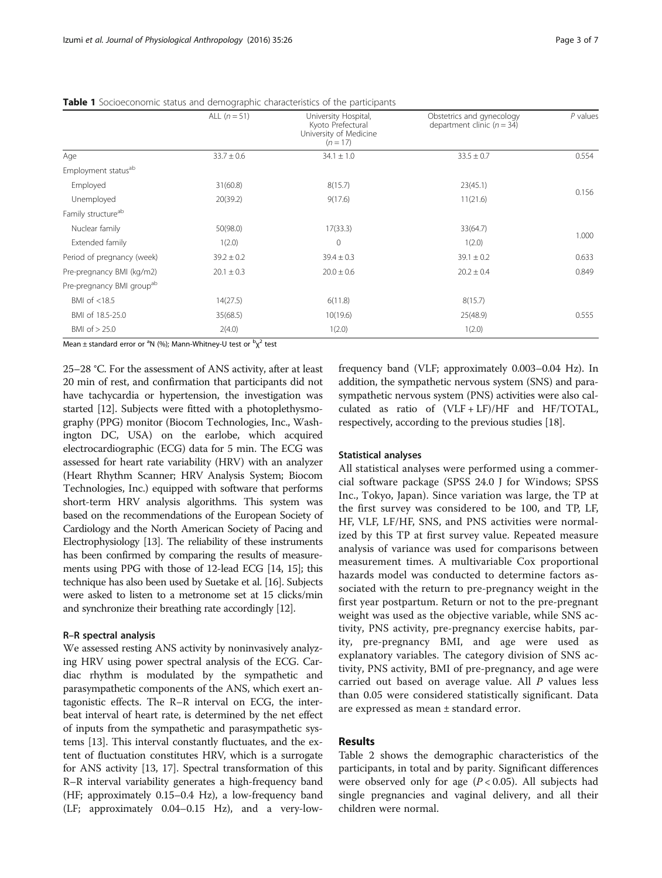|                                       | ALL $(n=51)$   | University Hospital,<br>Kyoto Prefectural<br>University of Medicine<br>$(n = 17)$ | Obstetrics and gynecology<br>department clinic ( $n = 34$ ) | $P$ values |
|---------------------------------------|----------------|-----------------------------------------------------------------------------------|-------------------------------------------------------------|------------|
| Age                                   | $33.7 \pm 0.6$ | $34.1 \pm 1.0$                                                                    | $33.5 \pm 0.7$                                              | 0.554      |
| Employment status <sup>ab</sup>       |                |                                                                                   |                                                             |            |
| Employed                              | 31(60.8)       | 8(15.7)                                                                           | 23(45.1)                                                    |            |
| Unemployed                            | 20(39.2)       | 9(17.6)                                                                           | 11(21.6)                                                    | 0.156      |
| Family structure <sup>ab</sup>        |                |                                                                                   |                                                             |            |
| Nuclear family                        | 50(98.0)       | 17(33.3)                                                                          | 33(64.7)                                                    |            |
| Extended family                       | 1(2.0)         | $\mathbf{0}$                                                                      | 1(2.0)                                                      | 1.000      |
| Period of pregnancy (week)            | $39.2 \pm 0.2$ | $39.4 \pm 0.3$                                                                    | $39.1 \pm 0.2$                                              | 0.633      |
| Pre-pregnancy BMI (kg/m2)             | $20.1 \pm 0.3$ | $20.0 \pm 0.6$                                                                    | $20.2 \pm 0.4$                                              | 0.849      |
| Pre-pregnancy BMI group <sup>ab</sup> |                |                                                                                   |                                                             |            |
| BMI of <18.5                          | 14(27.5)       | 6(11.8)                                                                           | 8(15.7)                                                     |            |
| BMI of 18.5-25.0                      | 35(68.5)       | 10(19.6)                                                                          | 25(48.9)                                                    | 0.555      |
| BMI of $> 25.0$                       | 2(4.0)         | 1(2.0)                                                                            | 1(2.0)                                                      |            |

<span id="page-2-0"></span>

|  | <b>Table 1</b> Socioeconomic status and demographic characteristics of the participants |  |  |  |  |  |
|--|-----------------------------------------------------------------------------------------|--|--|--|--|--|
|  |                                                                                         |  |  |  |  |  |

Mean ± standard error or <sup>a</sup>N (%); Mann-Whitney-U test or <sup>b</sup>X<sup>2</sup> test

25–28 °C. For the assessment of ANS activity, after at least 20 min of rest, and confirmation that participants did not have tachycardia or hypertension, the investigation was started [[12](#page-5-0)]. Subjects were fitted with a photoplethysmography (PPG) monitor (Biocom Technologies, Inc., Washington DC, USA) on the earlobe, which acquired electrocardiographic (ECG) data for 5 min. The ECG was assessed for heart rate variability (HRV) with an analyzer (Heart Rhythm Scanner; HRV Analysis System; Biocom Technologies, Inc.) equipped with software that performs short-term HRV analysis algorithms. This system was based on the recommendations of the European Society of Cardiology and the North American Society of Pacing and Electrophysiology [\[13\]](#page-5-0). The reliability of these instruments has been confirmed by comparing the results of measurements using PPG with those of 12-lead ECG [\[14, 15\]](#page-5-0); this technique has also been used by Suetake et al. [\[16\]](#page-6-0). Subjects were asked to listen to a metronome set at 15 clicks/min and synchronize their breathing rate accordingly [[12\]](#page-5-0).

# R–R spectral analysis

We assessed resting ANS activity by noninvasively analyzing HRV using power spectral analysis of the ECG. Cardiac rhythm is modulated by the sympathetic and parasympathetic components of the ANS, which exert antagonistic effects. The R–R interval on ECG, the interbeat interval of heart rate, is determined by the net effect of inputs from the sympathetic and parasympathetic systems [\[13\]](#page-5-0). This interval constantly fluctuates, and the extent of fluctuation constitutes HRV, which is a surrogate for ANS activity [\[13](#page-5-0), [17\]](#page-6-0). Spectral transformation of this R–R interval variability generates a high-frequency band (HF; approximately 0.15–0.4 Hz), a low-frequency band (LF; approximately 0.04–0.15 Hz), and a very-lowfrequency band (VLF; approximately 0.003–0.04 Hz). In addition, the sympathetic nervous system (SNS) and parasympathetic nervous system (PNS) activities were also calculated as ratio of (VLF + LF)/HF and HF/TOTAL, respectively, according to the previous studies [[18](#page-6-0)].

### Statistical analyses

All statistical analyses were performed using a commercial software package (SPSS 24.0 J for Windows; SPSS Inc., Tokyo, Japan). Since variation was large, the TP at the first survey was considered to be 100, and TP, LF, HF, VLF, LF/HF, SNS, and PNS activities were normalized by this TP at first survey value. Repeated measure analysis of variance was used for comparisons between measurement times. A multivariable Cox proportional hazards model was conducted to determine factors associated with the return to pre-pregnancy weight in the first year postpartum. Return or not to the pre-pregnant weight was used as the objective variable, while SNS activity, PNS activity, pre-pregnancy exercise habits, parity, pre-pregnancy BMI, and age were used as explanatory variables. The category division of SNS activity, PNS activity, BMI of pre-pregnancy, and age were carried out based on average value. All P values less than 0.05 were considered statistically significant. Data are expressed as mean ± standard error.

# Results

Table [2](#page-3-0) shows the demographic characteristics of the participants, in total and by parity. Significant differences were observed only for age  $(P < 0.05)$ . All subjects had single pregnancies and vaginal delivery, and all their children were normal.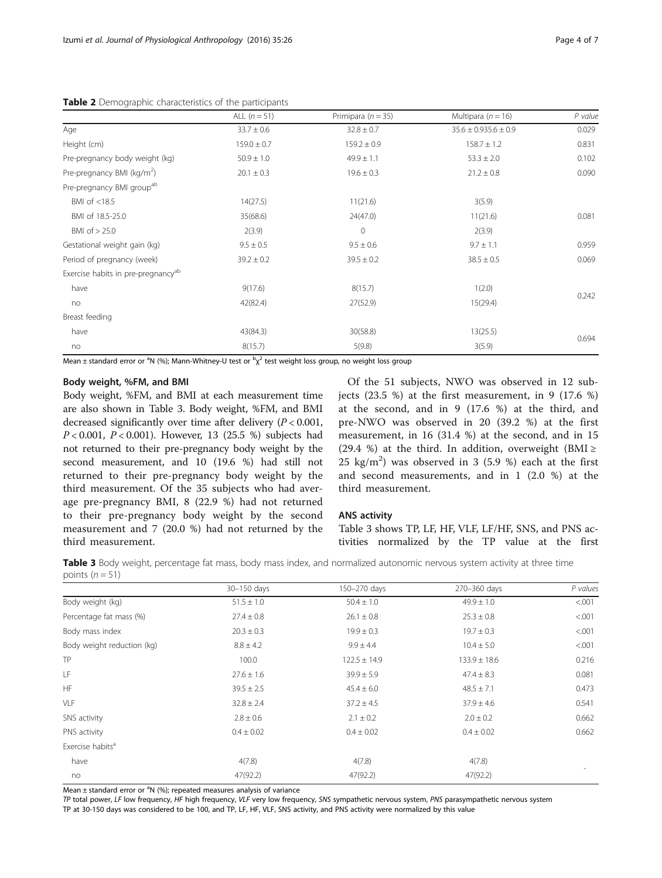<span id="page-3-0"></span>Table 2 Demographic characteristics of the participants

|                                                | ALL $(n=51)$    | Primipara $(n = 35)$ | Multipara ( $n = 16$ )     | P value |
|------------------------------------------------|-----------------|----------------------|----------------------------|---------|
| Age                                            | $33.7 \pm 0.6$  | $32.8 \pm 0.7$       | $35.6 \pm 0.935.6 \pm 0.9$ | 0.029   |
| Height (cm)                                    | $159.0 \pm 0.7$ | $159.2 \pm 0.9$      | $158.7 \pm 1.2$            | 0.831   |
| Pre-pregnancy body weight (kg)                 | $50.9 \pm 1.0$  | $49.9 \pm 1.1$       | $53.3 \pm 2.0$             | 0.102   |
| Pre-pregnancy BMI (kg/m <sup>2</sup> )         | $20.1 \pm 0.3$  | $19.6 \pm 0.3$       | $21.2 \pm 0.8$             | 0.090   |
| Pre-pregnancy BMI group <sup>ab</sup>          |                 |                      |                            |         |
| BMI of <18.5                                   | 14(27.5)        | 11(21.6)             | 3(5.9)                     |         |
| BMI of 18.5-25.0                               | 35(68.6)        | 24(47.0)             | 11(21.6)                   | 0.081   |
| BMI of $> 25.0$                                | 2(3.9)          | $\mathbf{0}$         | 2(3.9)                     |         |
| Gestational weight gain (kg)                   | $9.5 \pm 0.5$   | $9.5 \pm 0.6$        | $9.7 \pm 1.1$              | 0.959   |
| Period of pregnancy (week)                     | $39.2 \pm 0.2$  | $39.5 \pm 0.2$       | $38.5 \pm 0.5$             | 0.069   |
| Exercise habits in pre-pregnancy <sup>ab</sup> |                 |                      |                            |         |
| have                                           | 9(17.6)         | 8(15.7)              | 1(2.0)                     |         |
| no                                             | 42(82.4)        | 27(52.9)             | 15(29.4)                   | 0.242   |
| Breast feeding                                 |                 |                      |                            |         |
| have                                           | 43(84.3)        | 30(58.8)             | 13(25.5)                   |         |
| no                                             | 8(15.7)         | 5(9.8)               | 3(5.9)                     | 0.694   |

Mean  $\pm$  standard error or <sup>a</sup>N (%); Mann-Whitney-U test or  $^{\rm b}{\rm \chi}^2$  test weight loss group, no weight loss group

### Body weight, %FM, and BMI

Body weight, %FM, and BMI at each measurement time are also shown in Table 3. Body weight, %FM, and BMI decreased significantly over time after delivery  $(P < 0.001$ ,  $P < 0.001$ ,  $P < 0.001$ ). However, 13 (25.5 %) subjects had not returned to their pre-pregnancy body weight by the second measurement, and 10 (19.6 %) had still not returned to their pre-pregnancy body weight by the third measurement. Of the 35 subjects who had average pre-pregnancy BMI, 8 (22.9 %) had not returned to their pre-pregnancy body weight by the second measurement and 7 (20.0 %) had not returned by the third measurement.

Of the 51 subjects, NWO was observed in 12 subjects (23.5 %) at the first measurement, in 9 (17.6 %) at the second, and in 9 (17.6 %) at the third, and pre-NWO was observed in 20 (39.2 %) at the first measurement, in 16 (31.4 %) at the second, and in 15 (29.4 %) at the third. In addition, overweight (BMI ≥  $25 \text{ kg/m}^2$ ) was observed in 3 (5.9 %) each at the first and second measurements, and in 1 (2.0 %) at the third measurement.

# ANS activity

Table 3 shows TP, LF, HF, VLF, LF/HF, SNS, and PNS activities normalized by the TP value at the first

Table 3 Body weight, percentage fat mass, body mass index, and normalized autonomic nervous system activity at three time points  $(n = 51)$ 

|                              | 30-150 days    | 150-270 days     | 270-360 days     | P values |
|------------------------------|----------------|------------------|------------------|----------|
| Body weight (kg)             | $51.5 \pm 1.0$ | $50.4 \pm 1.0$   | $49.9 \pm 1.0$   | < 0.001  |
| Percentage fat mass (%)      | $27.4 \pm 0.8$ | $26.1 \pm 0.8$   | $25.3 \pm 0.8$   | < .001   |
| Body mass index              | $20.3 \pm 0.3$ | $19.9 \pm 0.3$   | $19.7 \pm 0.3$   | < .001   |
| Body weight reduction (kg)   | $8.8 \pm 4.2$  | $9.9 \pm 4.4$    | $10.4 \pm 5.0$   | < 0.001  |
| TP                           | 100.0          | $122.5 \pm 14.9$ | $133.9 \pm 18.6$ | 0.216    |
| LF.                          | $27.6 \pm 1.6$ | $39.9 \pm 5.9$   | $47.4 \pm 8.3$   | 0.081    |
| <b>HF</b>                    | $39.5 \pm 2.5$ | $45.4 \pm 6.0$   | $48.5 \pm 7.1$   | 0.473    |
| VLF                          | $32.8 \pm 2.4$ | $37.2 \pm 4.5$   | $37.9 \pm 4.6$   | 0.541    |
| SNS activity                 | $2.8 \pm 0.6$  | $2.1 \pm 0.2$    | $2.0 \pm 0.2$    | 0.662    |
| PNS activity                 | $0.4 \pm 0.02$ | $0.4 \pm 0.02$   | $0.4 \pm 0.02$   | 0.662    |
| Exercise habits <sup>a</sup> |                |                  |                  |          |
| have                         | 4(7.8)         | 4(7.8)           | 4(7.8)           |          |
| no                           | 47(92.2)       | 47(92.2)         | 47(92.2)         |          |

Mean  $\pm$  standard error or <sup>a</sup>N (%); repeated measures analysis of variance

TP total power, LF low frequency, HF high frequency, VLF very low frequency, SNS sympathetic nervous system, PNS parasympathetic nervous system TP at 30-150 days was considered to be 100, and TP, LF, HF, VLF, SNS activity, and PNS activity were normalized by this value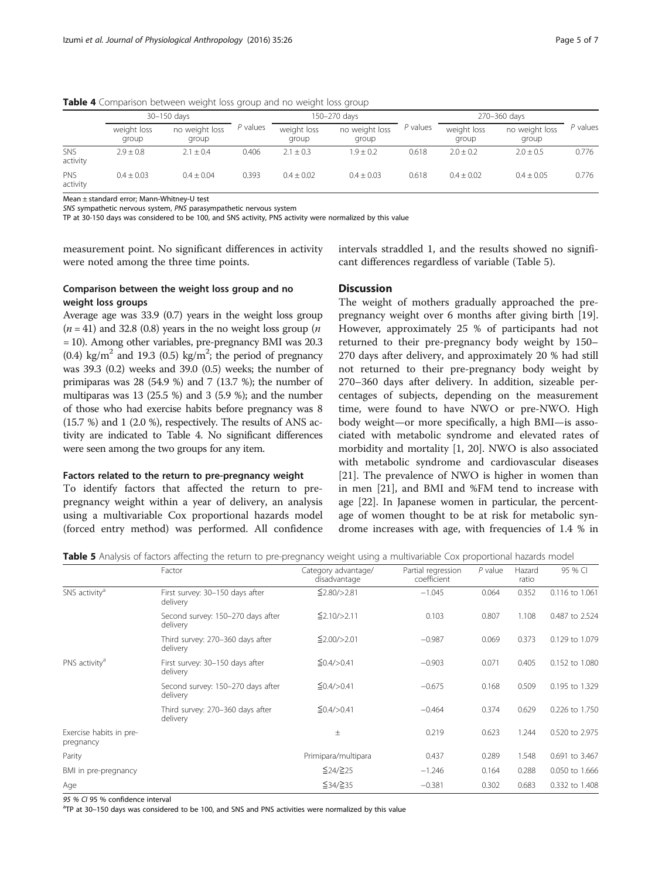|                 | 30-150 days          |                         |            | 150-270 days         |                         |            | 270-360 days         |                         |            |
|-----------------|----------------------|-------------------------|------------|----------------------|-------------------------|------------|----------------------|-------------------------|------------|
|                 | weight loss<br>group | no weight loss<br>group | $P$ values | weight loss<br>group | no weight loss<br>group | $P$ values | weight loss<br>group | no weight loss<br>group | $P$ values |
| SNS<br>activity | $2.9 + 0.8$          | $2.1 + 0.4$             | 0.406      | $2.1 + 0.3$          | $1.9 + 0.2$             | 0.618      | $2.0 \pm 0.2$        | $2.0 \pm 0.5$           | 0.776      |
| PNS<br>activity | $0.4 + 0.03$         | $0.4 + 0.04$            | 0.393      | $0.4 + 0.02$         | $0.4 \pm 0.03$          | 0.618      | $0.4 \pm 0.02$       | $0.4 + 0.05$            | 0.776      |

Table 4 Comparison between weight loss group and no weight loss group

Mean ± standard error; Mann-Whitney-U test

SNS sympathetic nervous system, PNS parasympathetic nervous system

TP at 30-150 days was considered to be 100, and SNS activity, PNS activity were normalized by this value

measurement point. No significant differences in activity were noted among the three time points.

# Comparison between the weight loss group and no weight loss groups

Average age was 33.9 (0.7) years in the weight loss group  $(n = 41)$  and 32.8 (0.8) years in the no weight loss group (*n* = 10). Among other variables, pre-pregnancy BMI was 20.3 (0.4) kg/m<sup>2</sup> and 19.3 (0.5) kg/m<sup>2</sup>; the period of pregnancy was 39.3 (0.2) weeks and 39.0 (0.5) weeks; the number of primiparas was 28 (54.9 %) and 7 (13.7 %); the number of multiparas was 13 (25.5 %) and 3 (5.9 %); and the number of those who had exercise habits before pregnancy was 8 (15.7 %) and 1 (2.0 %), respectively. The results of ANS activity are indicated to Table 4. No significant differences were seen among the two groups for any item.

### Factors related to the return to pre-pregnancy weight

To identify factors that affected the return to prepregnancy weight within a year of delivery, an analysis using a multivariable Cox proportional hazards model (forced entry method) was performed. All confidence

intervals straddled 1, and the results showed no significant differences regardless of variable (Table 5).

# Discussion

The weight of mothers gradually approached the prepregnancy weight over 6 months after giving birth [\[19](#page-6-0)]. However, approximately 25 % of participants had not returned to their pre-pregnancy body weight by 150– 270 days after delivery, and approximately 20 % had still not returned to their pre-pregnancy body weight by 270–360 days after delivery. In addition, sizeable percentages of subjects, depending on the measurement time, were found to have NWO or pre-NWO. High body weight—or more specifically, a high BMI—is associated with metabolic syndrome and elevated rates of morbidity and mortality [[1](#page-5-0), [20\]](#page-6-0). NWO is also associated with metabolic syndrome and cardiovascular diseases [[21\]](#page-6-0). The prevalence of NWO is higher in women than in men [\[21](#page-6-0)], and BMI and %FM tend to increase with age [\[22](#page-6-0)]. In Japanese women in particular, the percentage of women thought to be at risk for metabolic syndrome increases with age, with frequencies of 1.4 % in

Table 5 Analysis of factors affecting the return to pre-pregnancy weight using a multivariable Cox proportional hazards model

|                                      | Factor                                        | Category advantage/<br>disadvantage | Partial regression<br>coefficient | $P$ value | Hazard<br>ratio | 95 % CI        |
|--------------------------------------|-----------------------------------------------|-------------------------------------|-----------------------------------|-----------|-----------------|----------------|
| SNS activity <sup>a</sup>            | First survey: 30-150 days after<br>delivery   | ≤2.80/>2.81                         | $-1.045$                          | 0.064     | 0.352           | 0.116 to 1.061 |
|                                      | Second survey: 150-270 days after<br>delivery | $\leq$ 2.10/ $>$ 2.11               | 0.103                             | 0.807     | 1.108           | 0.487 to 2.524 |
|                                      | Third survey: 270-360 days after<br>delivery  | ≤2.00/>2.01                         | $-0.987$                          | 0.069     | 0.373           | 0.129 to 1.079 |
| PNS activity <sup>a</sup>            | First survey: 30-150 days after<br>delivery   | $≤0.4$ />0.41                       | $-0.903$                          | 0.071     | 0.405           | 0.152 to 1.080 |
|                                      | Second survey: 150-270 days after<br>delivery | $≤0.4$ />0.41                       | $-0.675$                          | 0.168     | 0.509           | 0.195 to 1.329 |
|                                      | Third survey: 270-360 days after<br>delivery  | $≤0.4$ />0.41                       | $-0.464$                          | 0.374     | 0.629           | 0.226 to 1.750 |
| Exercise habits in pre-<br>pregnancy |                                               | $\pm$                               | 0.219                             | 0.623     | 1.244           | 0.520 to 2.975 |
| Parity                               |                                               | Primipara/multipara                 | 0.437                             | 0.289     | 1.548           | 0.691 to 3.467 |
| BMI in pre-pregnancy                 |                                               | ≦24/≧25                             | $-1.246$                          | 0.164     | 0.288           | 0.050 to 1.666 |
| Age                                  |                                               | ≦34/≧35                             | $-0.381$                          | 0.302     | 0.683           | 0.332 to 1.408 |

95 % CJ 95 % confidence interval

<sup>a</sup>TP at 30-150 days was considered to be 100, and SNS and PNS activities were normalized by this value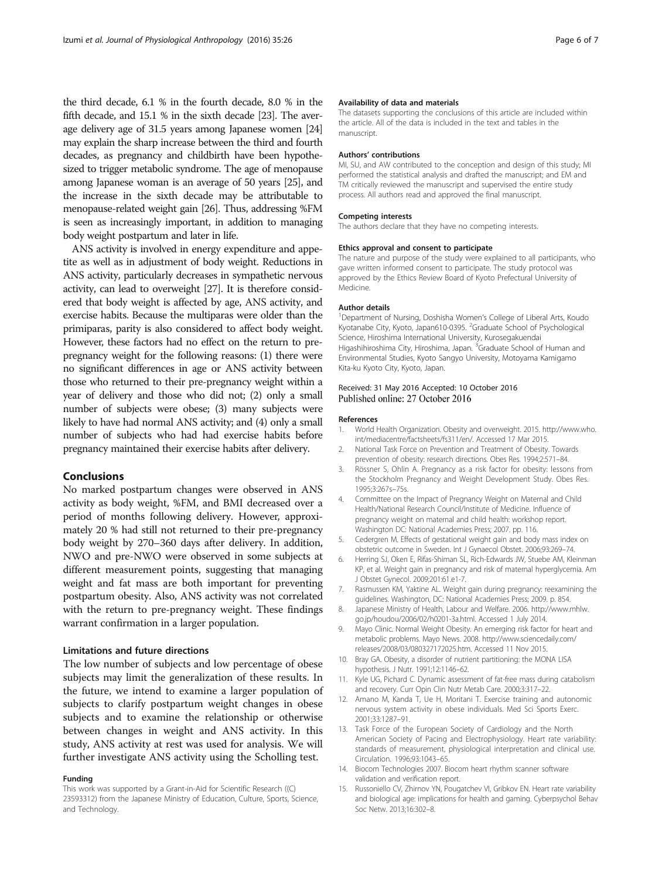<span id="page-5-0"></span>the third decade, 6.1 % in the fourth decade, 8.0 % in the fifth decade, and 15.1 % in the sixth decade [\[23](#page-6-0)]. The average delivery age of 31.5 years among Japanese women [\[24](#page-6-0)] may explain the sharp increase between the third and fourth decades, as pregnancy and childbirth have been hypothesized to trigger metabolic syndrome. The age of menopause among Japanese woman is an average of 50 years [\[25\]](#page-6-0), and the increase in the sixth decade may be attributable to menopause-related weight gain [\[26](#page-6-0)]. Thus, addressing %FM is seen as increasingly important, in addition to managing body weight postpartum and later in life.

ANS activity is involved in energy expenditure and appetite as well as in adjustment of body weight. Reductions in ANS activity, particularly decreases in sympathetic nervous activity, can lead to overweight [\[27\]](#page-6-0). It is therefore considered that body weight is affected by age, ANS activity, and exercise habits. Because the multiparas were older than the primiparas, parity is also considered to affect body weight. However, these factors had no effect on the return to prepregnancy weight for the following reasons: (1) there were no significant differences in age or ANS activity between those who returned to their pre-pregnancy weight within a year of delivery and those who did not; (2) only a small number of subjects were obese; (3) many subjects were likely to have had normal ANS activity; and (4) only a small number of subjects who had had exercise habits before pregnancy maintained their exercise habits after delivery.

### Conclusions

No marked postpartum changes were observed in ANS activity as body weight, %FM, and BMI decreased over a period of months following delivery. However, approximately 20 % had still not returned to their pre-pregnancy body weight by 270–360 days after delivery. In addition, NWO and pre-NWO were observed in some subjects at different measurement points, suggesting that managing weight and fat mass are both important for preventing postpartum obesity. Also, ANS activity was not correlated with the return to pre-pregnancy weight. These findings warrant confirmation in a larger population.

## Limitations and future directions

The low number of subjects and low percentage of obese subjects may limit the generalization of these results. In the future, we intend to examine a larger population of subjects to clarify postpartum weight changes in obese subjects and to examine the relationship or otherwise between changes in weight and ANS activity. In this study, ANS activity at rest was used for analysis. We will further investigate ANS activity using the Scholling test.

#### Funding

This work was supported by a Grant-in-Aid for Scientific Research ((C) 23593312) from the Japanese Ministry of Education, Culture, Sports, Science, and Technology.

#### Availability of data and materials

The datasets supporting the conclusions of this article are included within the article. All of the data is included in the text and tables in the manuscript.

#### Authors' contributions

MI, SU, and AW contributed to the conception and design of this study; MI performed the statistical analysis and drafted the manuscript; and EM and TM critically reviewed the manuscript and supervised the entire study process. All authors read and approved the final manuscript.

#### Competing interests

The authors declare that they have no competing interests.

#### Ethics approval and consent to participate

The nature and purpose of the study were explained to all participants, who gave written informed consent to participate. The study protocol was approved by the Ethics Review Board of Kyoto Prefectural University of Medicine.

#### Author details

<sup>1</sup>Department of Nursing, Doshisha Women's College of Liberal Arts, Koudo Kyotanabe City, Kyoto, Japan610-0395. <sup>2</sup>Graduate School of Psychological Science, Hiroshima International University, Kurosegakuendai Higashihiroshima City, Hiroshima, Japan. <sup>3</sup>Graduate School of Human and Environmental Studies, Kyoto Sangyo University, Motoyama Kamigamo Kita-ku Kyoto City, Kyoto, Japan.

#### Received: 31 May 2016 Accepted: 10 October 2016 Published online: 27 October 2016

#### References

- 1. World Health Organization. Obesity and overweight. 2015. [http://www.who.](http://www.who.int/mediacentre/factsheets/fs311/en/) [int/mediacentre/factsheets/fs311/en/](http://www.who.int/mediacentre/factsheets/fs311/en/). Accessed 17 Mar 2015.
- 2. National Task Force on Prevention and Treatment of Obesity. Towards prevention of obesity: research directions. Obes Res. 1994;2:571–84.
- 3. Rössner S, Ohlin A. Pregnancy as a risk factor for obesity: lessons from the Stockholm Pregnancy and Weight Development Study. Obes Res. 1995;3:267s–75s.
- 4. Committee on the Impact of Pregnancy Weight on Maternal and Child Health/National Research Council/Institute of Medicine. Influence of pregnancy weight on maternal and child health: workshop report. Washington DC: National Academies Press; 2007. pp. 116.
- 5. Cedergren M. Effects of gestational weight gain and body mass index on obstetric outcome in Sweden. Int J Gynaecol Obstet. 2006;93:269–74.
- 6. Herring SJ, Oken E, Rifas-Shiman SL, Rich-Edwards JW, Stuebe AM, Kleinman KP, et al. Weight gain in pregnancy and risk of maternal hyperglycemia. Am J Obstet Gynecol. 2009;201:61.e1-7.
- 7. Rasmussen KM, Yaktine AL. Weight gain during pregnancy: reexamining the guidelines. Washington, DC: National Academies Press; 2009. p. 854.
- 8. Japanese Ministry of Health, Labour and Welfare. 2006. [http://www.mhlw.](http://www.mhlw.go.jp/houdou/2006/02/h0201-3a.html) [go.jp/houdou/2006/02/h0201-3a.html](http://www.mhlw.go.jp/houdou/2006/02/h0201-3a.html). Accessed 1 July 2014.
- 9. Mayo Clinic. Normal Weight Obesity. An emerging risk factor for heart and metabolic problems. Mayo News. 2008. [http://www.sciencedaily.com/](http://www.sciencedaily.com/releases/2008/03/080327172025.htm) [releases/2008/03/080327172025.htm.](http://www.sciencedaily.com/releases/2008/03/080327172025.htm) Accessed 11 Nov 2015.
- 10. Bray GA. Obesity, a disorder of nutrient partitioning: the MONA LISA hypothesis. J Nutr. 1991;12:1146–62.
- 11. Kyle UG, Pichard C. Dynamic assessment of fat-free mass during catabolism and recovery. Curr Opin Clin Nutr Metab Care. 2000;3:317–22.
- 12. Amano M, Kanda T, Ue H, Moritani T. Exercise training and autonomic nervous system activity in obese individuals. Med Sci Sports Exerc. 2001;33:1287–91.
- 13. Task Force of the European Society of Cardiology and the North American Society of Pacing and Electrophysiology. Heart rate variability: standards of measurement, physiological interpretation and clinical use. Circulation. 1996;93:1043–65.
- 14. Biocom Technologies 2007. Biocom heart rhythm scanner software validation and verification report.
- 15. Russoniello CV, Zhirnov YN, Pougatchev VI, Gribkov EN. Heart rate variability and biological age: implications for health and gaming. Cyberpsychol Behav Soc Netw. 2013;16:302–8.